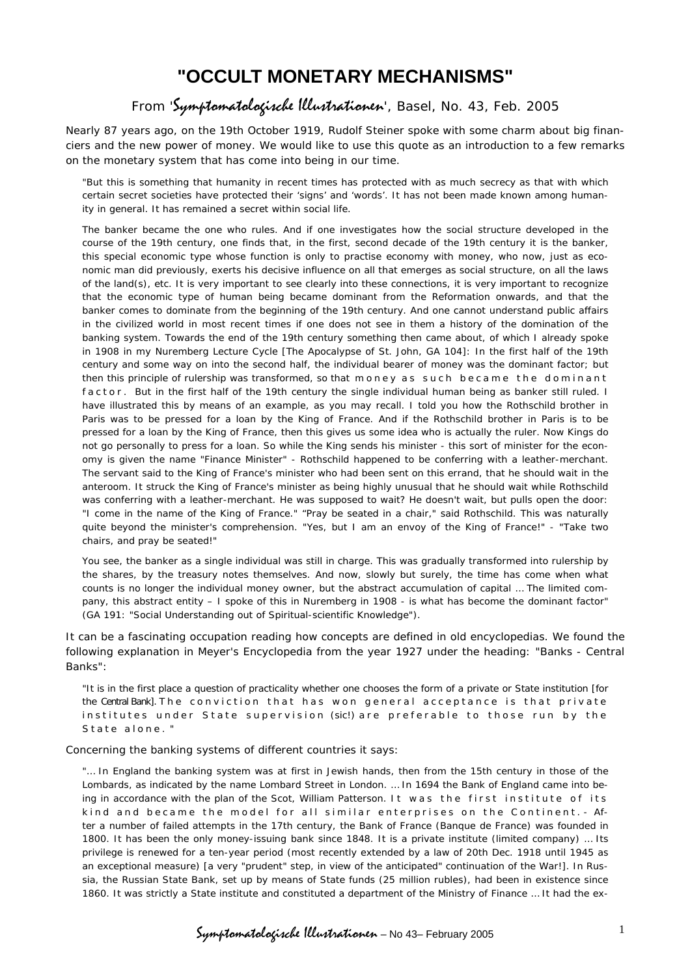# **"OCCULT MONETARY MECHANISMS"**

## From 'Symptomatologische Illustrationen', Basel, No. 43, Feb. 2005

Nearly 87 years ago, on the 19th October 1919, Rudolf Steiner spoke with some charm about big financiers and the new power of money. We would like to use this quote as an introduction to a few remarks on the monetary system that has come into being in our time.

"But this is something that humanity in recent times has protected with as much secrecy as that with which certain secret societies have protected their 'signs' and 'words'. It has not been made known among humanity in general. It has remained a secret within social life.

The banker became the one who rules. And if one investigates how the social structure developed in the course of the 19th century, one finds that, in the first, second decade of the 19th century it is the banker, this special economic type whose function is only to practise economy with money, who now, just as economic man did previously, exerts his decisive influence on all that emerges as social structure, on all the laws of the land(s), etc. It is very important to see clearly into these connections, it is very important to recognize that the economic type of human being became dominant from the Reformation onwards, and that the banker comes to dominate from the beginning of the 19th century. And one cannot understand public affairs in the civilized world in most recent times if one does not see in them a history of the domination of the banking system. Towards the end of the 19th century something then came about, of which I already spoke in 1908 in my Nuremberg Lecture Cycle [The Apocalypse of St. John, GA 104]: In the first half of the 19th century and some way on into the second half, the individual bearer of money was the dominant factor; but then this principle of rulership was transformed, so that money as such became the dominant factor. But in the first half of the 19th century the single individual human being as banker still ruled. I have illustrated this by means of an example, as you may recall. I told you how the Rothschild brother in Paris was to be pressed for a loan by the King of France. And if the Rothschild brother in Paris is to be pressed for a loan by the King of France, then this gives us some idea who is actually the ruler. Now Kings do not go personally to press for a loan. So while the King sends his minister - this sort of minister for the economy is given the name "Finance Minister" - Rothschild happened to be conferring with a leather-merchant. The servant said to the King of France's minister who had been sent on this errand, that he should wait in the anteroom. It struck the King of France's minister as being highly unusual that he should wait while Rothschild was conferring with a leather-merchant. He was supposed to wait? He doesn't wait, but pulls open the door: "I come in the name of the King of France." "Pray be seated in a chair," said Rothschild. This was naturally quite beyond the minister's comprehension. "Yes, but I am an envoy of the King of France!" - "Take two chairs, and pray be seated!"

You see, the banker as a single individual was still in charge. This was gradually transformed into rulership by the shares, by the treasury notes themselves. And now, slowly but surely, the time has come when what counts is no longer the individual money owner, but the abstract accumulation of capital … The limited company, this abstract entity – I spoke of this in Nuremberg in 1908 - is what has become the dominant factor" (GA 191: "Social Understanding out of Spiritual-scientific Knowledge").

It can be a fascinating occupation reading how concepts are defined in old encyclopedias. We found the following explanation in Meyer's Encyclopedia from the year 1927 under the heading: "Banks - Central Banks":

"It is in the first place a question of practicality whether one chooses the form of a private or State institution [for the Central Bank]. The conviction that has won general acceptance is that private institutes under State supervision (sic!) are preferable to those run by the State alone."

Concerning the banking systems of different countries it says:

"… In England the banking system was at first in Jewish hands, then from the 15th century in those of the Lombards, as indicated by the name Lombard Street in London. … In 1694 the Bank of England came into being in accordance with the plan of the Scot, William Patterson. It was the first institute of its kind and became the model for all similar enterprises on the Continent. - After a number of failed attempts in the 17th century, the Bank of France (Banque de France) was founded in 1800. It has been the only money-issuing bank since 1848. It is a private institute (limited company) … Its privilege is renewed for a ten-year period (most recently extended by a law of 20th Dec. 1918 until 1945 as an exceptional measure) [a very "prudent" step, in view of the anticipated" continuation of the War!]. In Russia, the Russian State Bank, set up by means of State funds (25 million rubles), had been in existence since 1860. It was strictly a State institute and constituted a department of the Ministry of Finance … It had the ex-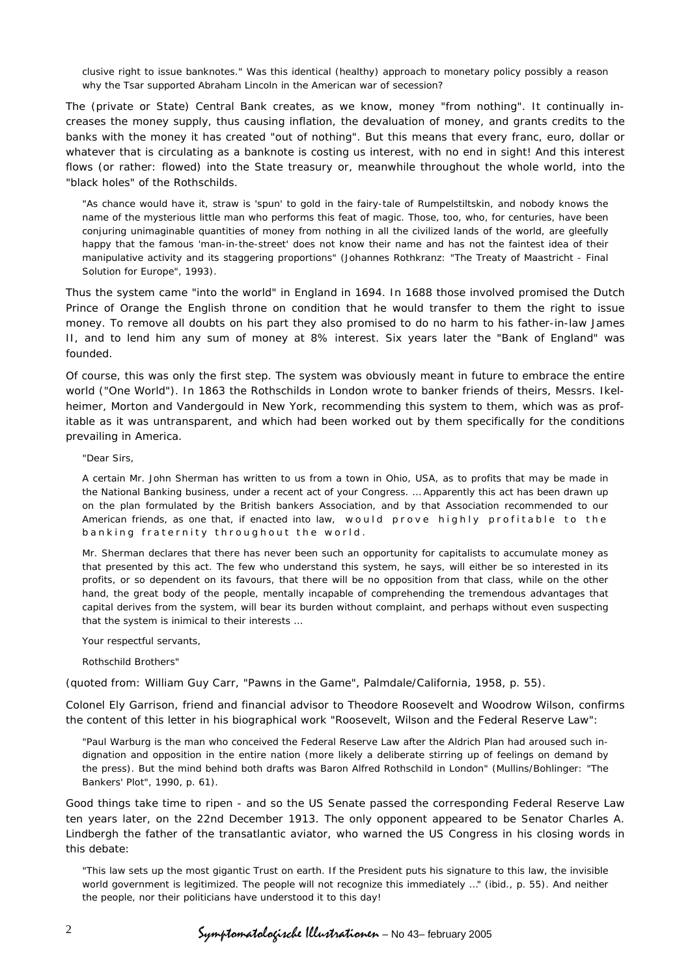clusive right to issue banknotes." Was this identical (healthy) approach to monetary policy possibly a reason why the Tsar supported Abraham Lincoln in the American war of secession?

The (private or State) Central Bank creates, as we know, money "from nothing". It continually increases the money supply, thus causing inflation, the devaluation of money, and grants credits to the banks with the money it has created "out of nothing". But this means that every franc, euro, dollar or whatever that is circulating as a banknote is costing us interest, with no end in sight! And this interest flows (or rather: flowed) into the State treasury or, meanwhile throughout the whole world, into the "black holes" of the Rothschilds.

"As chance would have it, straw is 'spun' to gold in the fairy-tale of Rumpelstiltskin, and nobody knows the name of the mysterious little man who performs this feat of magic. Those, too, who, for centuries, have been conjuring unimaginable quantities of money from nothing in all the civilized lands of the world, are gleefully happy that the famous 'man-in-the-street' does not know their name and has not the faintest idea of their manipulative activity and its staggering proportions" (Johannes Rothkranz: "The Treaty of Maastricht - Final Solution for Europe", 1993).

Thus the system came "into the world" in England in 1694. In 1688 those involved promised the Dutch Prince of Orange the English throne on condition that he would transfer to them the right to issue money. To remove all doubts on his part they also promised to do no harm to his father-in-law James II, and to lend him any sum of money at 8% interest. Six years later the "Bank of England" was founded.

Of course, this was only the first step. The system was obviously meant in future to embrace the entire world ("One World"). In 1863 the Rothschilds in London wrote to banker friends of theirs, Messrs. Ikelheimer, Morton and Vandergould in New York, recommending this system to them, which was as profitable as it was untransparent, and which had been worked out by them specifically for the conditions prevailing in America.

### "Dear Sirs,

A certain Mr. John Sherman has written to us from a town in Ohio, USA, as to profits that may be made in the National Banking business, under a recent act of your Congress. … Apparently this act has been drawn up on the plan formulated by the British bankers Association, and by that Association recommended to our American friends, as one that, if enacted into law, would prove highly profitable to the banking fraternity throughout the world.

Mr. Sherman declares that there has never been such an opportunity for capitalists to accumulate money as that presented by this act. The few who understand this system, he says, will either be so interested in its profits, or so dependent on its favours, that there will be no opposition from that class, while on the other hand, the great body of the people, mentally incapable of comprehending the tremendous advantages that capital derives from the system, will bear its burden without complaint, and perhaps without even suspecting that the system is inimical to their interests …

Your respectful servants,

### Rothschild Brothers"

(quoted from: William Guy Carr, "Pawns in the Game", Palmdale/California, 1958, p. 55).

Colonel Ely Garrison, friend and financial advisor to Theodore Roosevelt and Woodrow Wilson, confirms the content of this letter in his biographical work "Roosevelt, Wilson and the Federal Reserve Law":

"Paul Warburg is the man who conceived the Federal Reserve Law after the Aldrich Plan had aroused such indignation and opposition in the entire nation (more likely a deliberate stirring up of feelings on demand by the press). But the mind behind both drafts was Baron Alfred Rothschild in London" (Mullins/Bohlinger: "The Bankers' Plot", 1990, p. 61).

Good things take time to ripen - and so the US Senate passed the corresponding Federal Reserve Law ten years later, on the 22nd December 1913. The only opponent appeared to be Senator Charles A. Lindbergh the father of the transatlantic aviator, who warned the US Congress in his closing words in this debate:

"This law sets up the most gigantic Trust on earth. If the President puts his signature to this law, the invisible world government is legitimized. The people will not recognize this immediately …" (ibid., p. 55). And neither the people, nor their politicians have understood it to this day!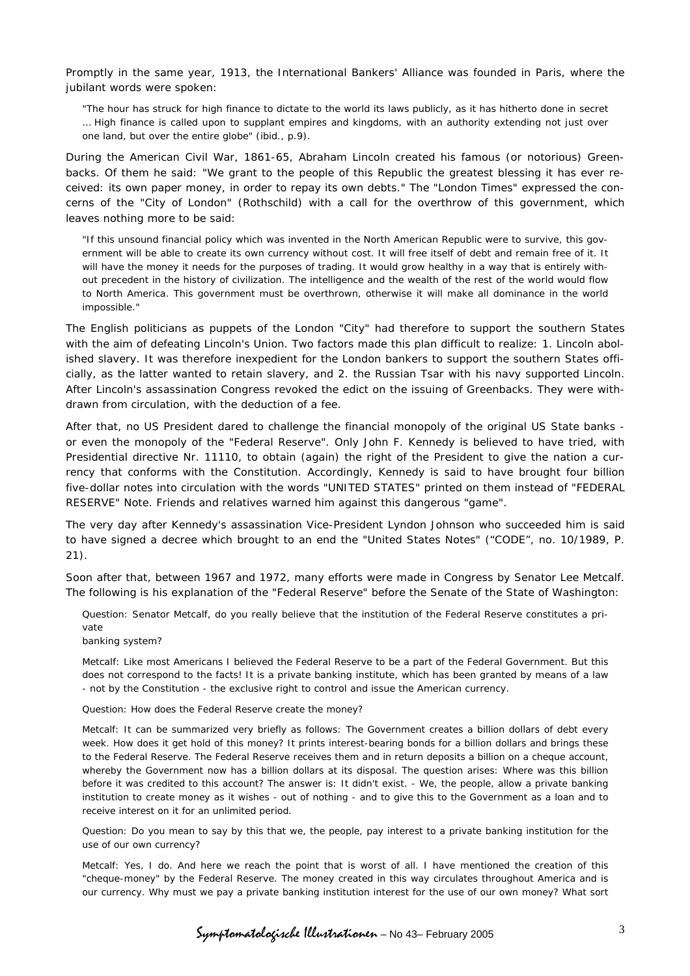Promptly in the same year, 1913, the International Bankers' Alliance was founded in Paris, where the jubilant words were spoken:

"The hour has struck for high finance to dictate to the world its laws publicly, as it has hitherto done in secret … High finance is called upon to supplant empires and kingdoms, with an authority extending not just over one land, but over the entire globe" (ibid., p.9).

During the American Civil War, 1861-65, Abraham Lincoln created his famous (or notorious) Greenbacks. Of them he said: "We grant to the people of this Republic the greatest blessing it has ever received: its own paper money, in order to repay its own debts." The "London Times" expressed the concerns of the "City of London" (Rothschild) with a call for the overthrow of this government, which leaves nothing more to be said:

"If this unsound financial policy which was invented in the North American Republic were to survive, this government will be able to create its own currency without cost. It will free itself of debt and remain free of it. It will have the money it needs for the purposes of trading. It would grow healthy in a way that is entirely without precedent in the history of civilization. The intelligence and the wealth of the rest of the world would flow to North America. This government must be overthrown, otherwise it will make all dominance in the world impossible."

The English politicians as puppets of the London "City" had therefore to support the southern States with the aim of defeating Lincoln's Union. Two factors made this plan difficult to realize: 1. Lincoln abolished slavery. It was therefore inexpedient for the London bankers to support the southern States officially, as the latter wanted to retain slavery, and 2. the Russian Tsar with his navy supported Lincoln. After Lincoln's assassination Congress revoked the edict on the issuing of Greenbacks. They were withdrawn from circulation, with the deduction of a fee.

After that, no US President dared to challenge the financial monopoly of the original US State banks or even the monopoly of the "Federal Reserve". Only John F. Kennedy is believed to have tried, with Presidential directive Nr. 11110, to obtain (again) the right of the President to give the nation a currency that conforms with the Constitution. Accordingly, Kennedy is said to have brought four billion five-dollar notes into circulation with the words "UNITED STATES" printed on them instead of "FEDERAL RESERVE" Note. Friends and relatives warned him against this dangerous "game".

The very day after Kennedy's assassination Vice-President Lyndon Johnson who succeeded him is said to have signed a decree which brought to an end the "United States Notes" ("CODE", no. 10/1989, P. 21).

Soon after that, between 1967 and 1972, many efforts were made in Congress by Senator Lee Metcalf. The following is his explanation of the "Federal Reserve" before the Senate of the State of Washington:

*Question*: Senator Metcalf, do you really believe that the institution of the Federal Reserve constitutes a private

### banking system?

*Metcalf*: Like most Americans I believed the Federal Reserve to be a part of the Federal Government. But this does not correspond to the facts! It is a private banking institute, which has been granted by means of a law - not by the Constitution - the exclusive right to control and issue the American currency.

*Question:* How does the Federal Reserve create the money?

*Metcalf:* It can be summarized very briefly as follows: The Government creates a billion dollars of debt every week. How does it get hold of this money? It prints interest-bearing bonds for a billion dollars and brings these to the Federal Reserve. The Federal Reserve receives them and in return deposits a billion on a cheque account, whereby the Government now has a billion dollars at its disposal. The question arises: Where was this billion before it was credited to this account? The answer is: It didn't exist. - We, the people, allow a private banking institution to create money as it wishes - out of nothing - and to give this to the Government as a loan and to receive interest on it for an unlimited period.

*Question:* Do you mean to say by this that we, the people, pay interest to a private banking institution for the use of our own currency?

*Metcalf:* Yes, I do. And here we reach the point that is worst of all. I have mentioned the creation of this "cheque-money" by the Federal Reserve. The money created in this way circulates throughout America and is our currency. Why must we pay a private banking institution interest for the use of our own money? What sort